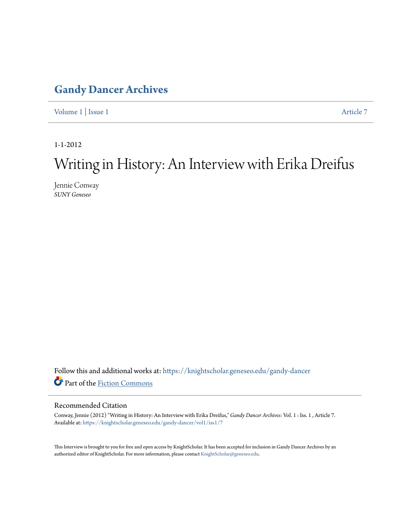### **[Gandy Dancer Archives](https://knightscholar.geneseo.edu/gandy-dancer?utm_source=knightscholar.geneseo.edu%2Fgandy-dancer%2Fvol1%2Fiss1%2F7&utm_medium=PDF&utm_campaign=PDFCoverPages)**

[Volume 1](https://knightscholar.geneseo.edu/gandy-dancer/vol1?utm_source=knightscholar.geneseo.edu%2Fgandy-dancer%2Fvol1%2Fiss1%2F7&utm_medium=PDF&utm_campaign=PDFCoverPages) | [Issue 1](https://knightscholar.geneseo.edu/gandy-dancer/vol1/iss1?utm_source=knightscholar.geneseo.edu%2Fgandy-dancer%2Fvol1%2Fiss1%2F7&utm_medium=PDF&utm_campaign=PDFCoverPages) [Article 7](https://knightscholar.geneseo.edu/gandy-dancer/vol1/iss1/7?utm_source=knightscholar.geneseo.edu%2Fgandy-dancer%2Fvol1%2Fiss1%2F7&utm_medium=PDF&utm_campaign=PDFCoverPages)

1-1-2012

## Writing in History: An Interview with Erika Dreifus

Jennie Conway *SUNY Geneseo*

Follow this and additional works at: [https://knightscholar.geneseo.edu/gandy-dancer](https://knightscholar.geneseo.edu/gandy-dancer?utm_source=knightscholar.geneseo.edu%2Fgandy-dancer%2Fvol1%2Fiss1%2F7&utm_medium=PDF&utm_campaign=PDFCoverPages) Part of the [Fiction Commons](http://network.bepress.com/hgg/discipline/1151?utm_source=knightscholar.geneseo.edu%2Fgandy-dancer%2Fvol1%2Fiss1%2F7&utm_medium=PDF&utm_campaign=PDFCoverPages)

#### Recommended Citation

Conway, Jennie (2012) "Writing in History: An Interview with Erika Dreifus," *Gandy Dancer Archives*: Vol. 1 : Iss. 1 , Article 7. Available at: [https://knightscholar.geneseo.edu/gandy-dancer/vol1/iss1/7](https://knightscholar.geneseo.edu/gandy-dancer/vol1/iss1/7?utm_source=knightscholar.geneseo.edu%2Fgandy-dancer%2Fvol1%2Fiss1%2F7&utm_medium=PDF&utm_campaign=PDFCoverPages)

This Interview is brought to you for free and open access by KnightScholar. It has been accepted for inclusion in Gandy Dancer Archives by an authorized editor of KnightScholar. For more information, please contact [KnightScholar@geneseo.edu](mailto:KnightScholar@geneseo.edu).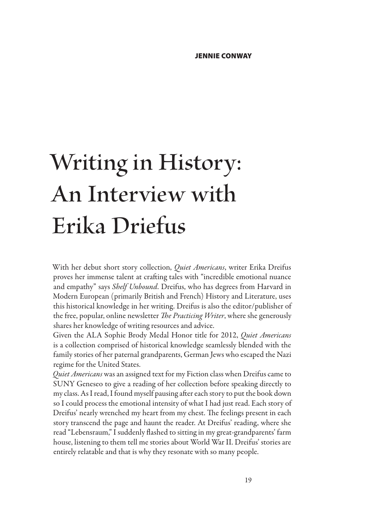# **Writing in History: An Interview with Erika Driefus**

With her debut short story collection, *Quiet Americans*, writer Erika Dreifus proves her immense talent at crafting tales with "incredible emotional nuance and empathy" says *Shelf Unbound*. Dreifus, who has degrees from Harvard in Modern European (primarily British and French) History and Literature, uses this historical knowledge in her writing. Dreifus is also the editor/publisher of the free, popular, online newsletter *The Practicing Writer*, where she generously shares her knowledge of writing resources and advice.

Given the ALA Sophie Brody Medal Honor title for 2012, *Quiet Americans* is a collection comprised of historical knowledge seamlessly blended with the family stories of her paternal grandparents, German Jews who escaped the Nazi regime for the United States.

*Quiet Americans* was an assigned text for my Fiction class when Dreifus came to SUNY Geneseo to give a reading of her collection before speaking directly to my class. As I read, I found myself pausing after each story to put the book down so I could process the emotional intensity of what I had just read. Each story of Dreifus' nearly wrenched my heart from my chest. The feelings present in each story transcend the page and haunt the reader. At Dreifus' reading, where she read "Lebensraum," I suddenly flashed to sitting in my great-grandparents' farm house, listening to them tell me stories about World War II. Dreifus' stories are entirely relatable and that is why they resonate with so many people.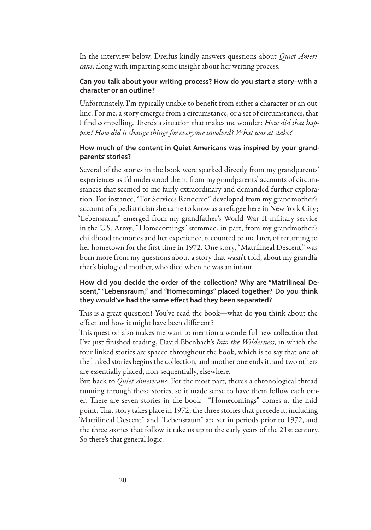In the interview below, Dreifus kindly answers questions about *Quiet Americans*, along with imparting some insight about her writing process.

#### **Can you talk about your writing process? How do you start a story–with a character or an outline?**

Unfortunately, I'm typically unable to benefit from either a character or an outline. For me, a story emerges from a circumstance, or a set of circumstances, that I find compelling. There's a situation that makes me wonder: *How did that happen? How did it change things for everyone involved? What was at stake?*

#### **How much of the content in Quiet Americans was inspired by your grandparents' stories?**

Several of the stories in the book were sparked directly from my grandparents' experiences as I'd understood them, from my grandparents' accounts of circumstances that seemed to me fairly extraordinary and demanded further exploration. For instance, "For Services Rendered" developed from my grandmother's account of a pediatrician she came to know as a refugee here in New York City; "Lebensraum" emerged from my grandfather's World War II military service in the U.S. Army; "Homecomings" stemmed, in part, from my grandmother's childhood memories and her experience, recounted to me later, of returning to her hometown for the first time in 1972. One story, "Matrilineal Descent," was born more from my questions about a story that wasn't told, about my grandfather's biological mother, who died when he was an infant.

#### **How did you decide the order of the collection? Why are "Matrilineal Descent," "Lebensraum," and "Homecomings" placed together? Do you think they would've had the same effect had they been separated?**

This is a great question! You've read the book—what do you think about the effect and how it might have been different?

This question also makes me want to mention a wonderful new collection that I've just finished reading, David Ebenbach's *Into the Wilderness*, in which the four linked stories are spaced throughout the book, which is to say that one of the linked stories begins the collection, and another one ends it, and two others are essentially placed, non-sequentially, elsewhere.

But back to *Quiet Americans*: For the most part, there's a chronological thread running through those stories, so it made sense to have them follow each other. There are seven stories in the book—"Homecomings" comes at the midpoint. That story takes place in 1972; the three stories that precede it, including "Matrilineal Descent" and "Lebensraum" are set in periods prior to 1972, and the three stories that follow it take us up to the early years of the 21st century. So there's that general logic.